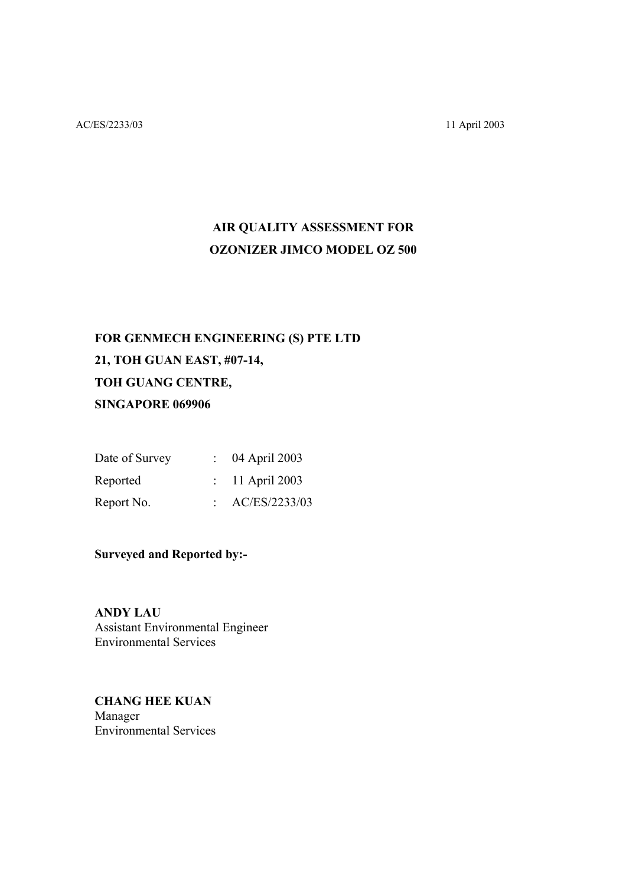# **AIR QUALITY ASSESSMENT FOR OZONIZER JIMCO MODEL OZ 500**

# **FOR GENMECH ENGINEERING (S) PTE LTD 21, TOH GUAN EAST, #07-14, TOH GUANG CENTRE, SINGAPORE 069906**

| Date of Survey | $\therefore$ 04 April 2003 |
|----------------|----------------------------|
| Reported       | $\therefore$ 11 April 2003 |
| Report No.     | AC/ES/2233/03              |

**Surveyed and Reported by:-** 

**ANDY LAU**  Assistant Environmental Engineer Environmental Services

**CHANG HEE KUAN** Manager Environmental Services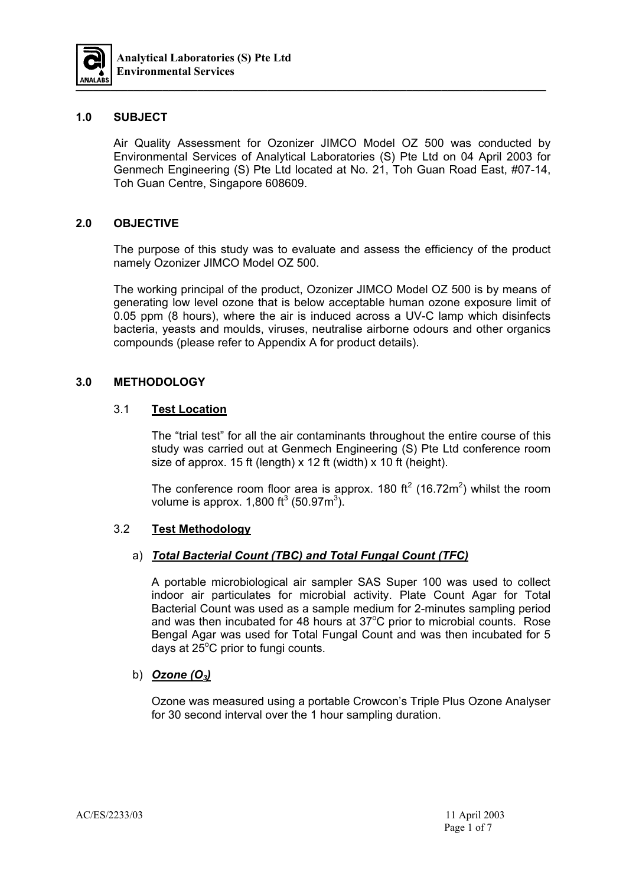

#### **1.0 SUBJECT**

Air Quality Assessment for Ozonizer JIMCO Model OZ 500 was conducted by Environmental Services of Analytical Laboratories (S) Pte Ltd on 04 April 2003 for Genmech Engineering (S) Pte Ltd located at No. 21, Toh Guan Road East, #07-14, Toh Guan Centre, Singapore 608609.

#### **2.0 OBJECTIVE**

The purpose of this study was to evaluate and assess the efficiency of the product namely Ozonizer JIMCO Model OZ 500.

The working principal of the product, Ozonizer JIMCO Model OZ 500 is by means of generating low level ozone that is below acceptable human ozone exposure limit of 0.05 ppm (8 hours), where the air is induced across a UV-C lamp which disinfects bacteria, yeasts and moulds, viruses, neutralise airborne odours and other organics compounds (please refer to Appendix A for product details).

#### **3.0 METHODOLOGY**

#### 3.1 **Test Location**

 The "trial test" for all the air contaminants throughout the entire course of this study was carried out at Genmech Engineering (S) Pte Ltd conference room size of approx. 15 ft (length) x 12 ft (width) x 10 ft (height).

The conference room floor area is approx. 180 ft<sup>2</sup> (16.72m<sup>2</sup>) whilst the room volume is approx. 1,800 ft<sup>3</sup> (50.97m<sup>3</sup>).

#### 3.2 **Test Methodology**

#### a) *Total Bacterial Count (TBC) and Total Fungal Count (TFC)*

 A portable microbiological air sampler SAS Super 100 was used to collect indoor air particulates for microbial activity. Plate Count Agar for Total Bacterial Count was used as a sample medium for 2-minutes sampling period and was then incubated for 48 hours at  $37^{\circ}$ C prior to microbial counts. Rose Bengal Agar was used for Total Fungal Count and was then incubated for 5 days at 25 $^{\circ}$ C prior to fungi counts.

#### b) *Ozone (O3)*

 Ozone was measured using a portable Crowcon's Triple Plus Ozone Analyser for 30 second interval over the 1 hour sampling duration.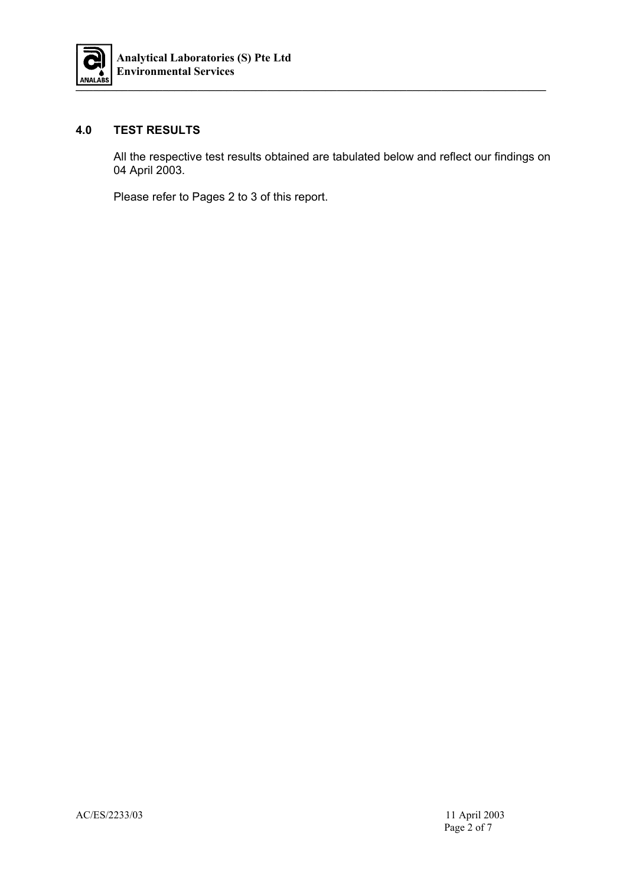

#### **4.0 TEST RESULTS**

All the respective test results obtained are tabulated below and reflect our findings on 04 April 2003.

Please refer to Pages 2 to 3 of this report.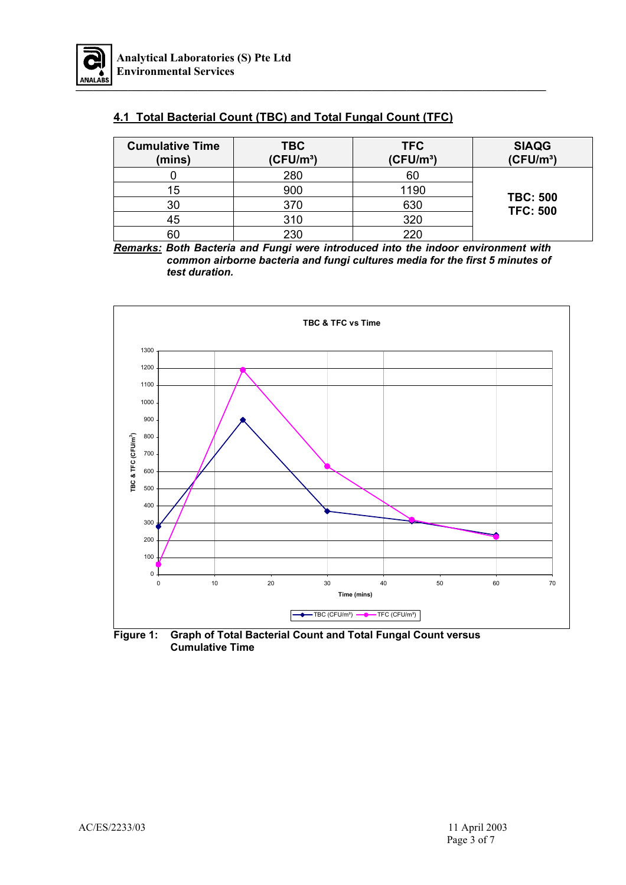

## **4.1 Total Bacterial Count (TBC) and Total Fungal Count (TFC)**

| <b>Cumulative Time</b><br>(mins) | <b>TBC</b><br>(CFU/m <sup>3</sup> ) | <b>TFC</b><br>(CFU/m <sup>3</sup> ) | <b>SIAQG</b><br>(CFU/m <sup>3</sup> ) |
|----------------------------------|-------------------------------------|-------------------------------------|---------------------------------------|
|                                  | 280                                 | 60                                  |                                       |
| 15                               | 900                                 | 1190                                |                                       |
| 30                               | 370                                 | 630                                 | <b>TBC: 500</b><br><b>TFC: 500</b>    |
| 45                               | 310                                 | 320                                 |                                       |
| 60                               | 230                                 | 220                                 |                                       |

*Remarks: Both Bacteria and Fungi were introduced into the indoor environment with common airborne bacteria and fungi cultures media for the first 5 minutes of test duration.* 



**Figure 1: Graph of Total Bacterial Count and Total Fungal Count versus Cumulative Time**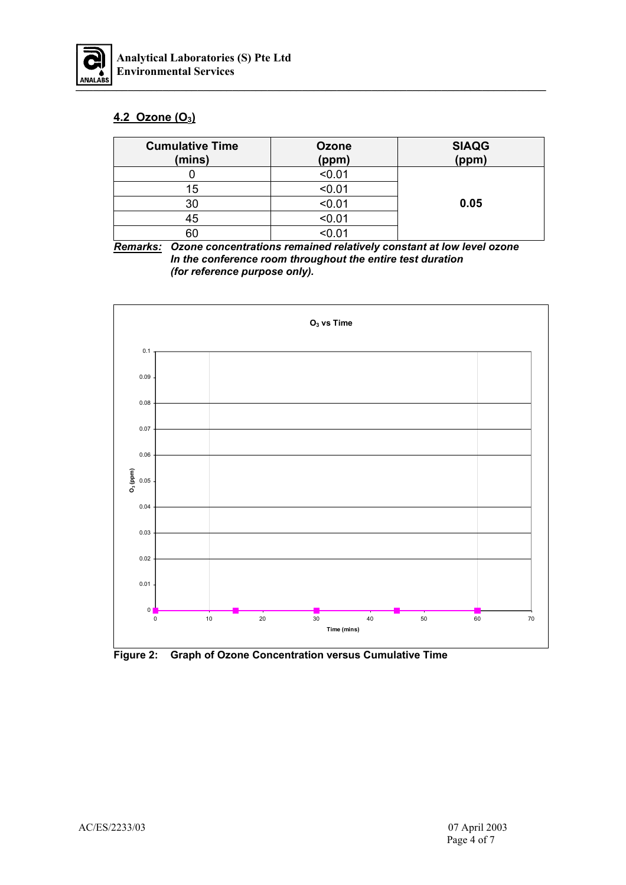

## **4.2 Ozone (O3)**

| <b>Cumulative Time</b><br>(mins) | Ozone<br>(ppm) | <b>SIAQG</b><br>(ppm) |
|----------------------------------|----------------|-----------------------|
|                                  | < 0.01         |                       |
| 15                               | < 0.01         |                       |
| 30                               | < 0.01         | 0.05                  |
| 45                               | < 0.01         |                       |
| 60                               | < 0.01         |                       |

*Remarks: Ozone concentrations remained relatively constant at low level ozone In the conference room throughout the entire test duration (for reference purpose only).*



**Figure 2: Graph of Ozone Concentration versus Cumulative Time**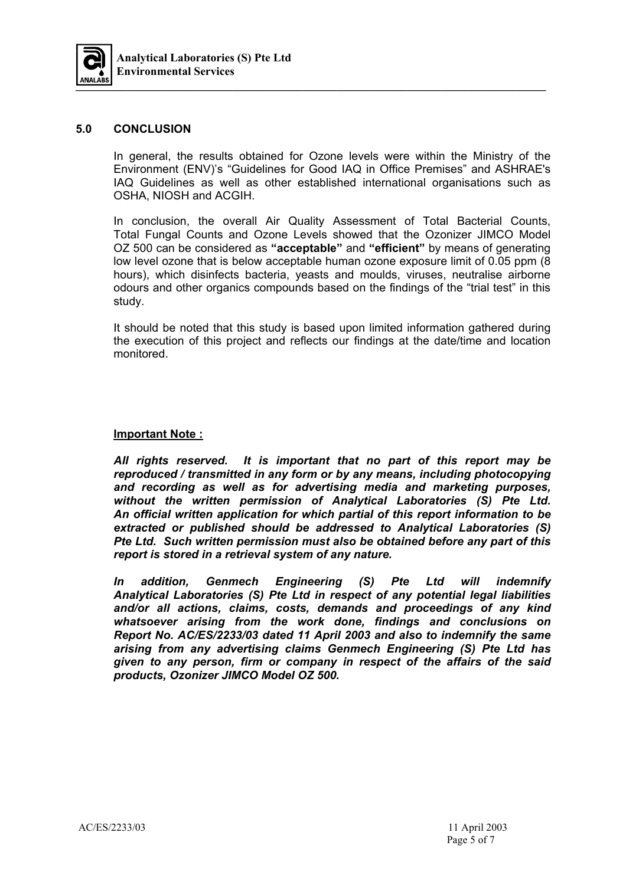

#### **5.0 CONCLUSION**

In general, the results obtained for Ozone levels were within the Ministry of the Environment (ENV)'s "Guidelines for Good IAQ in Office Premises" and ASHRAE's IAQ Guidelines as well as other established international organisations such as OSHA, NIOSH and ACGIH.

In conclusion, the overall Air Quality Assessment of Total Bacterial Counts, Total Fungal Counts and Ozone Levels showed that the Ozonizer JIMCO Model OZ 500 can be considered as **"acceptable"** and **"efficient"** by means of generating low level ozone that is below acceptable human ozone exposure limit of 0.05 ppm (8 hours), which disinfects bacteria, yeasts and moulds, viruses, neutralise airborne odours and other organics compounds based on the findings of the "trial test" in this study.

It should be noted that this study is based upon limited information gathered during the execution of this project and reflects our findings at the date/time and location monitored.

#### **Important Note :**

*All rights reserved. It is important that no part of this report may be reproduced / transmitted in any form or by any means, including photocopying and recording as well as for advertising media and marketing purposes, without the written permission of Analytical Laboratories (S) Pte Ltd. An official written application for which partial of this report information to be extracted or published should be addressed to Analytical Laboratories (S) Pte Ltd. Such written permission must also be obtained before any part of this report is stored in a retrieval system of any nature.* 

*In addition, Genmech Engineering (S) Pte Ltd will indemnify Analytical Laboratories (S) Pte Ltd in respect of any potential legal liabilities and/or all actions, claims, costs, demands and proceedings of any kind whatsoever arising from the work done, findings and conclusions on Report No. AC/ES/2233/03 dated 11 April 2003 and also to indemnify the same arising from any advertising claims Genmech Engineering (S) Pte Ltd has given to any person, firm or company in respect of the affairs of the said products, Ozonizer JIMCO Model OZ 500.*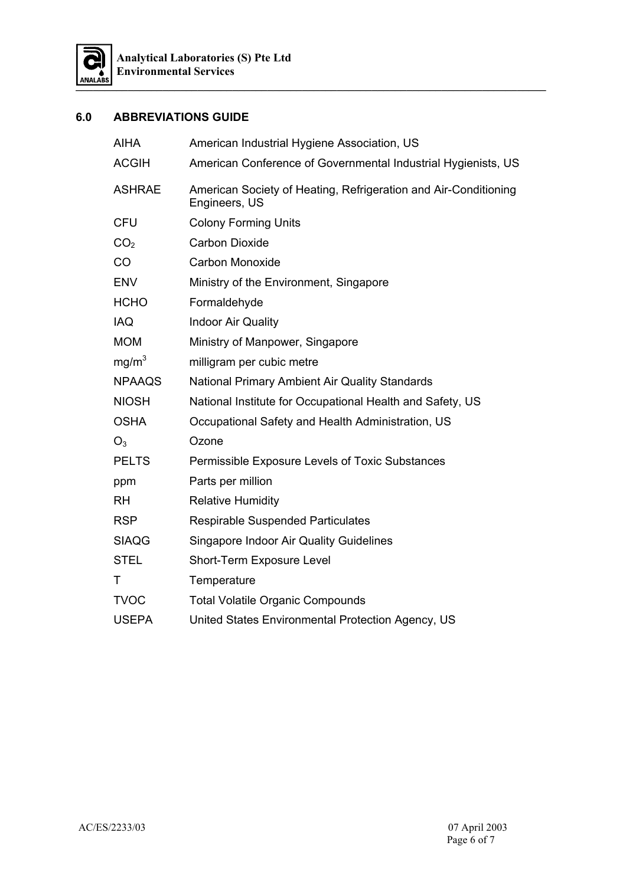

### **6.0 ABBREVIATIONS GUIDE**

| <b>AIHA</b>       | American Industrial Hygiene Association, US                                      |
|-------------------|----------------------------------------------------------------------------------|
| <b>ACGIH</b>      | American Conference of Governmental Industrial Hygienists, US                    |
| <b>ASHRAE</b>     | American Society of Heating, Refrigeration and Air-Conditioning<br>Engineers, US |
| <b>CFU</b>        | <b>Colony Forming Units</b>                                                      |
| CO <sub>2</sub>   | <b>Carbon Dioxide</b>                                                            |
| CO                | <b>Carbon Monoxide</b>                                                           |
| <b>ENV</b>        | Ministry of the Environment, Singapore                                           |
| <b>HCHO</b>       | Formaldehyde                                                                     |
| <b>IAQ</b>        | <b>Indoor Air Quality</b>                                                        |
| <b>MOM</b>        | Ministry of Manpower, Singapore                                                  |
| mg/m <sup>3</sup> | milligram per cubic metre                                                        |
| <b>NPAAQS</b>     | National Primary Ambient Air Quality Standards                                   |
| <b>NIOSH</b>      | National Institute for Occupational Health and Safety, US                        |
| <b>OSHA</b>       | Occupational Safety and Health Administration, US                                |
| $O_3$             | Ozone                                                                            |
| <b>PELTS</b>      | Permissible Exposure Levels of Toxic Substances                                  |
| ppm               | Parts per million                                                                |
| <b>RH</b>         | <b>Relative Humidity</b>                                                         |
| <b>RSP</b>        | <b>Respirable Suspended Particulates</b>                                         |
| <b>SIAQG</b>      | <b>Singapore Indoor Air Quality Guidelines</b>                                   |
| <b>STEL</b>       | Short-Term Exposure Level                                                        |
| Τ                 | Temperature                                                                      |
| <b>TVOC</b>       | <b>Total Volatile Organic Compounds</b>                                          |
| <b>USEPA</b>      | United States Environmental Protection Agency, US                                |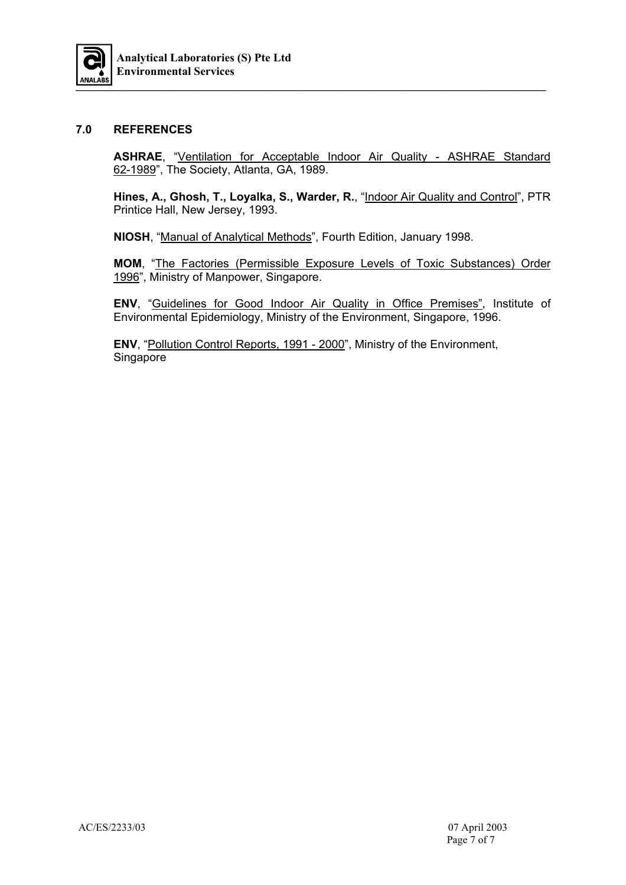

#### **7.0 REFERENCES**

**ASHRAE**, "Ventilation for Acceptable Indoor Air Quality - ASHRAE Standard 62-1989", The Society, Atlanta, GA, 1989.

**Hines, A., Ghosh, T., Loyalka, S., Warder, R.**, "Indoor Air Quality and Control", PTR Printice Hall, New Jersey, 1993.

**NIOSH**, "Manual of Analytical Methods", Fourth Edition, January 1998.

**MOM**, "The Factories (Permissible Exposure Levels of Toxic Substances) Order 1996", Ministry of Manpower, Singapore.

**ENV**, "Guidelines for Good Indoor Air Quality in Office Premises", Institute of Environmental Epidemiology, Ministry of the Environment, Singapore, 1996.

 **ENV**, "Pollution Control Reports, 1991 - 2000", Ministry of the Environment, Singapore